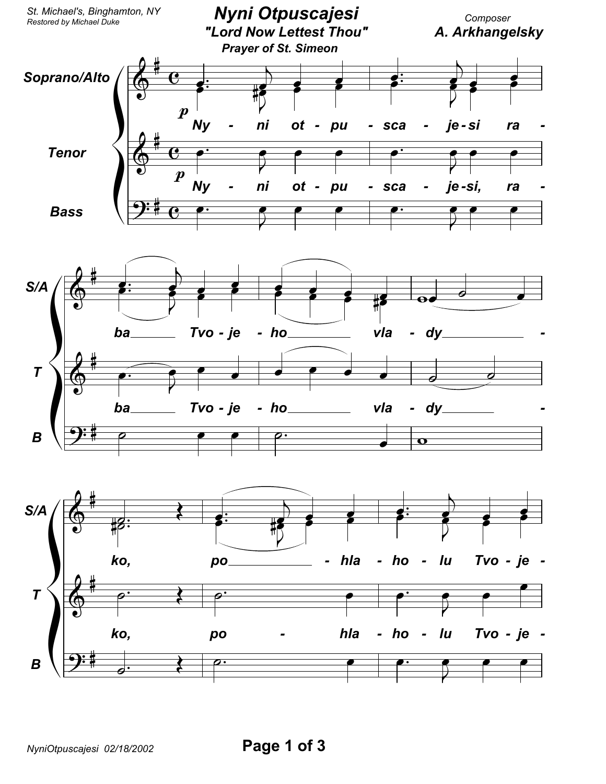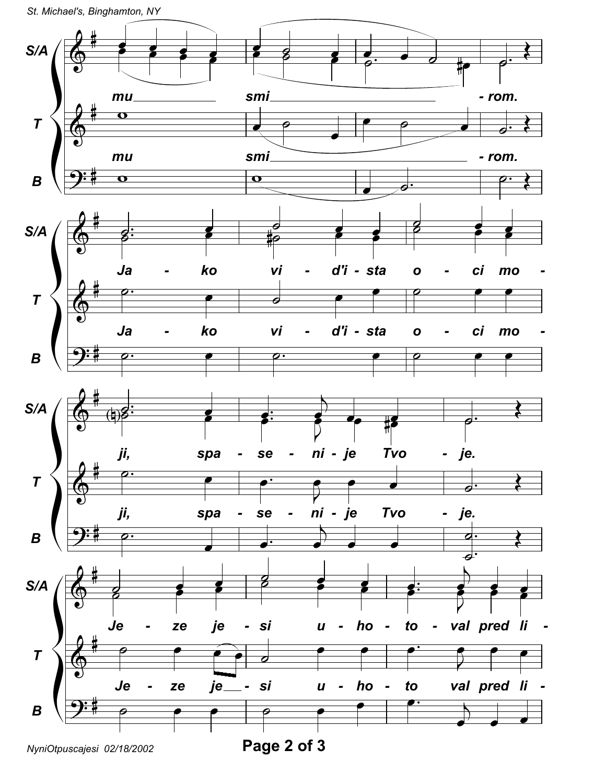